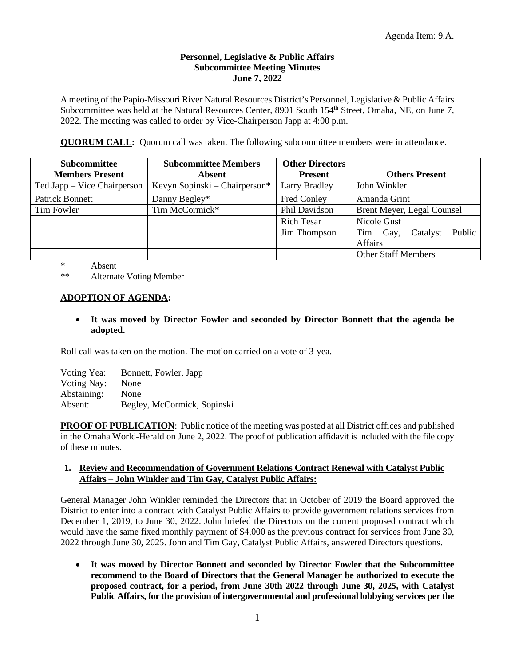## **Personnel, Legislative & Public Affairs Subcommittee Meeting Minutes June 7, 2022**

A meeting of the Papio-Missouri River Natural Resources District's Personnel, Legislative & Public Affairs Subcommittee was held at the Natural Resources Center, 8901 South 154<sup>th</sup> Street, Omaha, NE, on June 7, 2022. The meeting was called to order by Vice-Chairperson Japp at 4:00 p.m.

**QUORUM CALL:** Quorum call was taken. The following subcommittee members were in attendance.

| <b>Subcommittee</b>         | <b>Subcommittee Members</b>   | <b>Other Directors</b> |                                   |
|-----------------------------|-------------------------------|------------------------|-----------------------------------|
| <b>Members Present</b>      | <b>Absent</b>                 | <b>Present</b>         | <b>Others Present</b>             |
| Ted Japp – Vice Chairperson | Kevyn Sopinski – Chairperson* | <b>Larry Bradley</b>   | John Winkler                      |
| <b>Patrick Bonnett</b>      | Danny Begley*                 | <b>Fred Conley</b>     | Amanda Grint                      |
| Tim Fowler                  | Tim McCormick*                | Phil Davidson          | Brent Meyer, Legal Counsel        |
|                             |                               | Rich Tesar             | Nicole Gust                       |
|                             |                               | Jim Thompson           | Public<br>Catalyst<br>Tim<br>Gay, |
|                             |                               |                        | Affairs                           |
|                             |                               |                        | <b>Other Staff Members</b>        |

\* Absent

\*\* Alternate Voting Member

## **ADOPTION OF AGENDA:**

• **It was moved by Director Fowler and seconded by Director Bonnett that the agenda be adopted.**

Roll call was taken on the motion. The motion carried on a vote of 3-yea.

| Voting Yea:        | Bonnett, Fowler, Japp       |  |
|--------------------|-----------------------------|--|
| <b>Voting Nay:</b> | None                        |  |
| Abstaining:        | None                        |  |
| Absent:            | Begley, McCormick, Sopinski |  |

**PROOF OF PUBLICATION**: Public notice of the meeting was posted at all District offices and published in the Omaha World-Herald on June 2, 2022. The proof of publication affidavit is included with the file copy of these minutes.

## **1. Review and Recommendation of Government Relations Contract Renewal with Catalyst Public Affairs – John Winkler and Tim Gay, Catalyst Public Affairs:**

General Manager John Winkler reminded the Directors that in October of 2019 the Board approved the District to enter into a contract with Catalyst Public Affairs to provide government relations services from December 1, 2019, to June 30, 2022. John briefed the Directors on the current proposed contract which would have the same fixed monthly payment of \$4,000 as the previous contract for services from June 30, 2022 through June 30, 2025. John and Tim Gay, Catalyst Public Affairs, answered Directors questions.

• **It was moved by Director Bonnett and seconded by Director Fowler that the Subcommittee recommend to the Board of Directors that the General Manager be authorized to execute the proposed contract, for a period, from June 30th 2022 through June 30, 2025, with Catalyst Public Affairs, for the provision of intergovernmental and professional lobbying services per the**